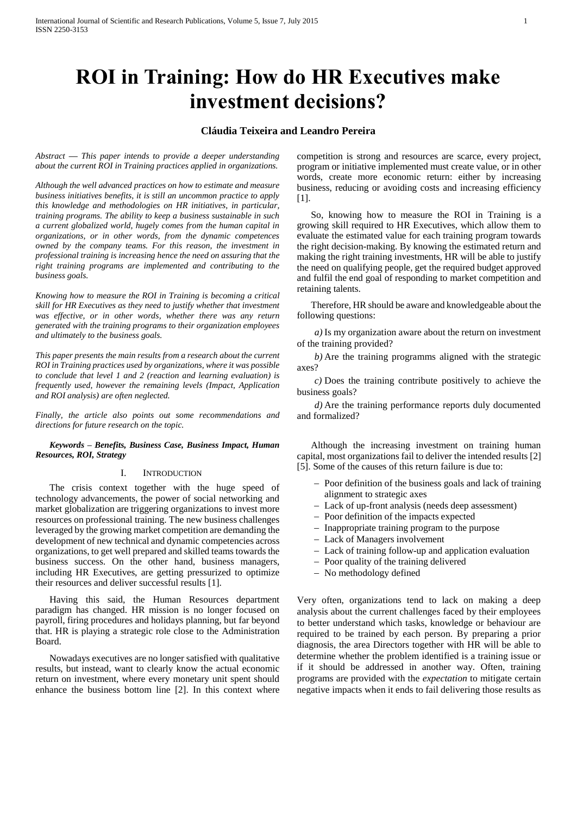# **ROI in Training: How do HR Executives make investment decisions?**

# **Cláudia Teixeira and Leandro Pereira**

*Abstract — This paper intends to provide a deeper understanding about the current ROI in Training practices applied in organizations.* 

*Although the well advanced practices on how to estimate and measure business initiatives benefits, it is still an uncommon practice to apply this knowledge and methodologies on HR initiatives, in particular, training programs. The ability to keep a business sustainable in such a current globalized world, hugely comes from the human capital in organizations, or in other words, from the dynamic competences owned by the company teams. For this reason, the investment in professional training is increasing hence the need on assuring that the right training programs are implemented and contributing to the business goals.* 

*Knowing how to measure the ROI in Training is becoming a critical skill for HR Executives as they need to justify whether that investment was effective, or in other words, whether there was any return generated with the training programs to their organization employees and ultimately to the business goals.*

*This paper presents the main results from a research about the current ROI in Training practices used by organizations, where it was possible to conclude that level 1 and 2 (reaction and learning evaluation) is frequently used, however the remaining levels (Impact, Application and ROI analysis) are often neglected.* 

*Finally, the article also points out some recommendations and directions for future research on the topic.*

*Keywords – Benefits, Business Case, Business Impact, Human Resources, ROI, Strategy*

# I. INTRODUCTION

The crisis context together with the huge speed of technology advancements, the power of social networking and market globalization are triggering organizations to invest more resources on professional training. The new business challenges leveraged by the growing market competition are demanding the development of new technical and dynamic competencies across organizations, to get well prepared and skilled teams towards the business success. On the other hand, business managers, including HR Executives, are getting pressurized to optimize their resources and deliver successful results [1].

Having this said, the Human Resources department paradigm has changed. HR mission is no longer focused on payroll, firing procedures and holidays planning, but far beyond that. HR is playing a strategic role close to the Administration Board.

Nowadays executives are no longer satisfied with qualitative results, but instead, want to clearly know the actual economic return on investment, where every monetary unit spent should enhance the business bottom line [2]. In this context where

competition is strong and resources are scarce, every project, program or initiative implemented must create value, or in other words, create more economic return: either by increasing business, reducing or avoiding costs and increasing efficiency [1].

So, knowing how to measure the ROI in Training is a growing skill required to HR Executives, which allow them to evaluate the estimated value for each training program towards the right decision-making. By knowing the estimated return and making the right training investments, HR will be able to justify the need on qualifying people, get the required budget approved and fulfil the end goal of responding to market competition and retaining talents.

Therefore, HR should be aware and knowledgeable about the following questions:

*a)* Is my organization aware about the return on investment of the training provided?

*b)* Are the training programms aligned with the strategic axes?

*c)* Does the training contribute positively to achieve the business goals?

*d)* Are the training performance reports duly documented and formalized?

Although the increasing investment on training human capital, most organizations fail to deliver the intended results [2] [5]. Some of the causes of this return failure is due to:

- Poor definition of the business goals and lack of training alignment to strategic axes
- Lack of up-front analysis (needs deep assessment)
- Poor definition of the impacts expected
- Inappropriate training program to the purpose
- Lack of Managers involvement
- Lack of training follow-up and application evaluation
- Poor quality of the training delivered
- No methodology defined

Very often, organizations tend to lack on making a deep analysis about the current challenges faced by their employees to better understand which tasks, knowledge or behaviour are required to be trained by each person. By preparing a prior diagnosis, the area Directors together with HR will be able to determine whether the problem identified is a training issue or if it should be addressed in another way. Often, training programs are provided with the *expectation* to mitigate certain negative impacts when it ends to fail delivering those results as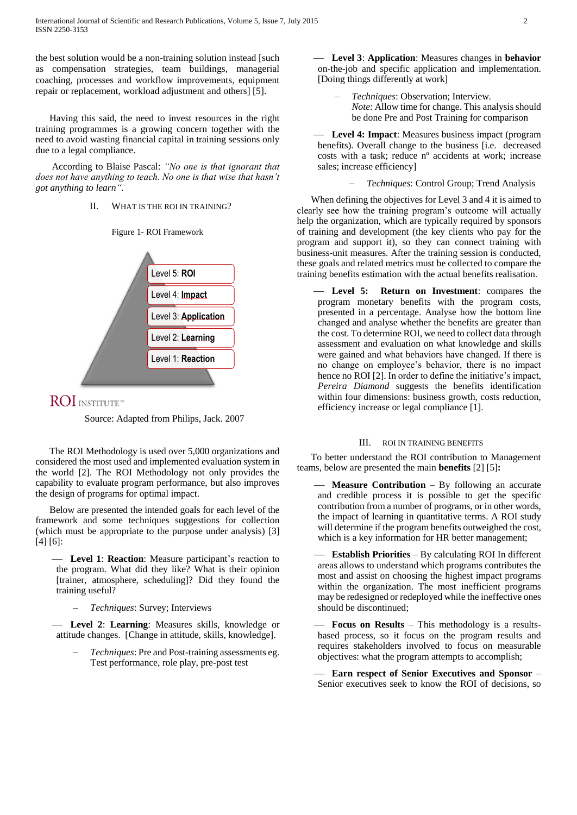the best solution would be a non-training solution instead [such as compensation strategies, team buildings, managerial coaching, processes and workflow improvements, equipment repair or replacement, workload adjustment and others] [5].

Having this said, the need to invest resources in the right training programmes is a growing concern together with the need to avoid wasting financial capital in training sessions only due to a legal compliance.

According to Blaise Pascal: *"No one is that ignorant that does not have anything to teach. No one is that wise that hasn't got anything to learn".*

## II. WHAT IS THE ROI IN TRAINING?

Figure 1- ROI Framework



# **ROI** INSTITUTE<sup>N</sup>

Source: Adapted from Philips, Jack. 2007

The ROI Methodology is used over 5,000 organizations and considered the most used and implemented evaluation system in the world [2]. The ROI Methodology not only provides the capability to evaluate program performance, but also improves the design of programs for optimal impact.

Below are presented the intended goals for each level of the framework and some techniques suggestions for collection (which must be appropriate to the purpose under analysis) [3] [4] [6]:

 **Level 1**: **Reaction**: Measure participant's reaction to the program. What did they like? What is their opinion [trainer, atmosphere, scheduling]? Did they found the training useful?

*Techniques*: Survey; Interviews

 **Level 2**: **Learning**: Measures skills, knowledge or attitude changes. [Change in attitude, skills, knowledge].

 *Techniques*: Pre and Post-training assessments eg. Test performance, role play, pre-post test

 **Level 3**: **Application**: Measures changes in **behavior** on-the-job and specific application and implementation. [Doing things differently at work]

 *Techniques*: Observation; Interview. *Note*: Allow time for change. This analysis should be done Pre and Post Training for comparison

 **Level 4: Impact**: Measures business impact (program benefits). Overall change to the business [i.e. decreased costs with a task; reduce nº accidents at work; increase sales; increase efficiency]

*Techniques*: Control Group; Trend Analysis

When defining the objectives for Level 3 and 4 it is aimed to clearly see how the training program's outcome will actually help the organization, which are typically required by sponsors of training and development (the key clients who pay for the program and support it), so they can connect training with business-unit measures. After the training session is conducted, these goals and related metrics must be collected to compare the training benefits estimation with the actual benefits realisation.

 **Level 5: Return on Investment**: compares the program monetary benefits with the program costs, presented in a percentage. Analyse how the bottom line changed and analyse whether the benefits are greater than the cost. To determine ROI, we need to collect data through assessment and evaluation on what knowledge and skills were gained and what behaviors have changed. If there is no change on employee's behavior, there is no impact hence no ROI [2]. In order to define the initiative's impact, *Pereira Diamond* suggests the benefits identification within four dimensions: business growth, costs reduction, efficiency increase or legal compliance [1].

#### III. ROI IN TRAINING BENEFITS

To better understand the ROI contribution to Management teams, below are presented the main **benefits** [2] [5]**:**

 **Measure Contribution –** By following an accurate and credible process it is possible to get the specific contribution from a number of programs, or in other words, the impact of learning in quantitative terms. A ROI study will determine if the program benefits outweighed the cost, which is a key information for HR better management;

 **Establish Priorities** – By calculating ROI In different areas allows to understand which programs contributes the most and assist on choosing the highest impact programs within the organization. The most inefficient programs may be redesigned or redeployed while the ineffective ones should be discontinued;

 **Focus on Results** – This methodology is a resultsbased process, so it focus on the program results and requires stakeholders involved to focus on measurable objectives: what the program attempts to accomplish;

 **Earn respect of Senior Executives and Sponsor** – Senior executives seek to know the ROI of decisions, so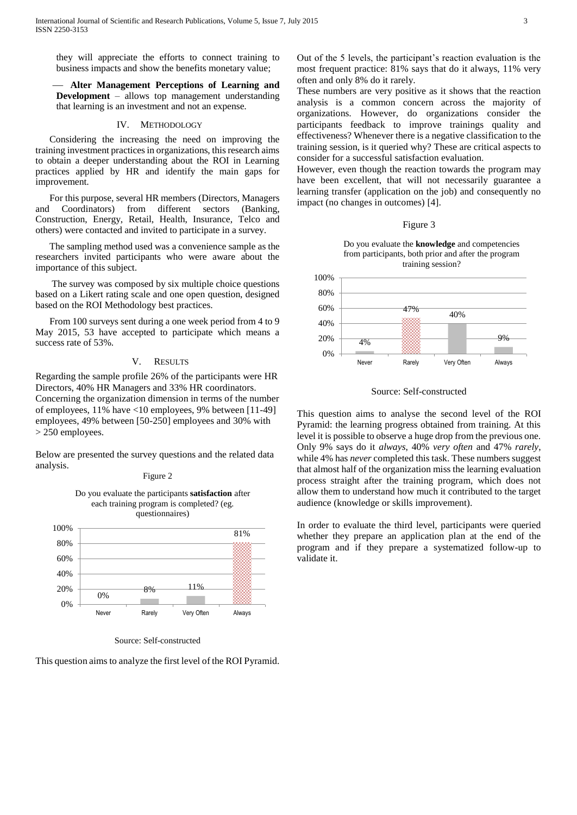they will appreciate the efforts to connect training to business impacts and show the benefits monetary value;

 **Alter Management Perceptions of Learning and Development** – allows top management understanding that learning is an investment and not an expense.

# IV. METHODOLOGY

Considering the increasing the need on improving the training investment practices in organizations, this research aims to obtain a deeper understanding about the ROI in Learning practices applied by HR and identify the main gaps for improvement.

For this purpose, several HR members (Directors, Managers and Coordinators) from different sectors (Banking, Construction, Energy, Retail, Health, Insurance, Telco and others) were contacted and invited to participate in a survey.

The sampling method used was a convenience sample as the researchers invited participants who were aware about the importance of this subject.

The survey was composed by six multiple choice questions based on a Likert rating scale and one open question, designed based on the ROI Methodology best practices.

From 100 surveys sent during a one week period from 4 to 9 May 2015, 53 have accepted to participate which means a success rate of 53%.

#### V. RESULTS

Regarding the sample profile 26% of the participants were HR Directors, 40% HR Managers and 33% HR coordinators. Concerning the organization dimension in terms of the number of employees, 11% have <10 employees, 9% between [11-49] employees, 49% between [50-250] employees and 30% with > 250 employees.

Below are presented the survey questions and the related data analysis.



Source: Self-constructed

This question aimsto analyze the first level of the ROI Pyramid.

Out of the 5 levels, the participant's reaction evaluation is the most frequent practice: 81% says that do it always, 11% very often and only 8% do it rarely.

These numbers are very positive as it shows that the reaction analysis is a common concern across the majority of organizations. However, do organizations consider the participants feedback to improve trainings quality and effectiveness? Whenever there is a negative classification to the training session, is it queried why? These are critical aspects to consider for a successful satisfaction evaluation.

However, even though the reaction towards the program may have been excellent, that will not necessarily guarantee a learning transfer (application on the job) and consequently no impact (no changes in outcomes) [4].

#### Figure 3





Source: Self-constructed

This question aims to analyse the second level of the ROI Pyramid: the learning progress obtained from training. At this level it is possible to observe a huge drop from the previous one. Only 9% says do it *always*, 40% *very often* and 47% *rarely*, while 4% has *never* completed this task. These numbers suggest that almost half of the organization miss the learning evaluation process straight after the training program, which does not allow them to understand how much it contributed to the target audience (knowledge or skills improvement).

In order to evaluate the third level, participants were queried whether they prepare an application plan at the end of the program and if they prepare a systematized follow-up to validate it.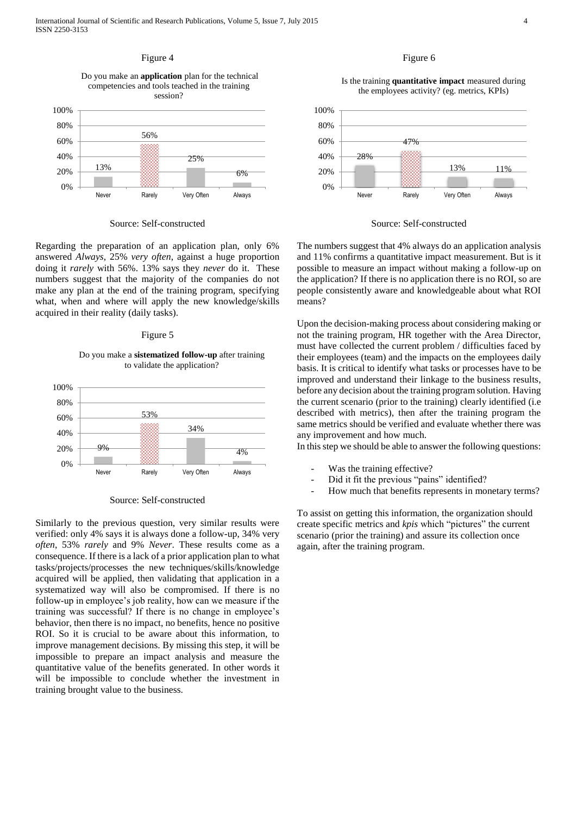

#### Source: Self-constructed

Regarding the preparation of an application plan, only 6% answered *Always*, 25% *very often*, against a huge proportion doing it *rarely* with 56%. 13% says they *never* do it. These numbers suggest that the majority of the companies do not make any plan at the end of the training program, specifying what, when and where will apply the new knowledge/skills acquired in their reality (daily tasks).

#### Figure 5

Do you make a **sistematized follow-up** after training to validate the application?



Source: Self-constructed

Similarly to the previous question, very similar results were verified: only 4% says it is always done a follow-up, 34% very *often*, 53% *rarely* and 9% *Never*. These results come as a consequence. If there is a lack of a prior application plan to what tasks/projects/processes the new techniques/skills/knowledge acquired will be applied, then validating that application in a systematized way will also be compromised. If there is no follow-up in employee's job reality, how can we measure if the training was successful? If there is no change in employee's behavior, then there is no impact, no benefits, hence no positive ROI. So it is crucial to be aware about this information, to improve management decisions. By missing this step, it will be impossible to prepare an impact analysis and measure the quantitative value of the benefits generated. In other words it will be impossible to conclude whether the investment in training brought value to the business.

# Figure 6

Is the training **quantitative impact** measured during the employees activity? (eg. metrics, KPIs)



Source: Self-constructed

The numbers suggest that 4% always do an application analysis and 11% confirms a quantitative impact measurement. But is it possible to measure an impact without making a follow-up on the application? If there is no application there is no ROI, so are people consistently aware and knowledgeable about what ROI means?

Upon the decision-making process about considering making or not the training program, HR together with the Area Director, must have collected the current problem / difficulties faced by their employees (team) and the impacts on the employees daily basis. It is critical to identify what tasks or processes have to be improved and understand their linkage to the business results, before any decision about the training program solution. Having the current scenario (prior to the training) clearly identified (i.e described with metrics), then after the training program the same metrics should be verified and evaluate whether there was any improvement and how much.

In this step we should be able to answer the following questions:

- Was the training effective?
- Did it fit the previous "pains" identified?
- How much that benefits represents in monetary terms?

To assist on getting this information, the organization should create specific metrics and *kpis* which "pictures" the current scenario (prior the training) and assure its collection once again, after the training program.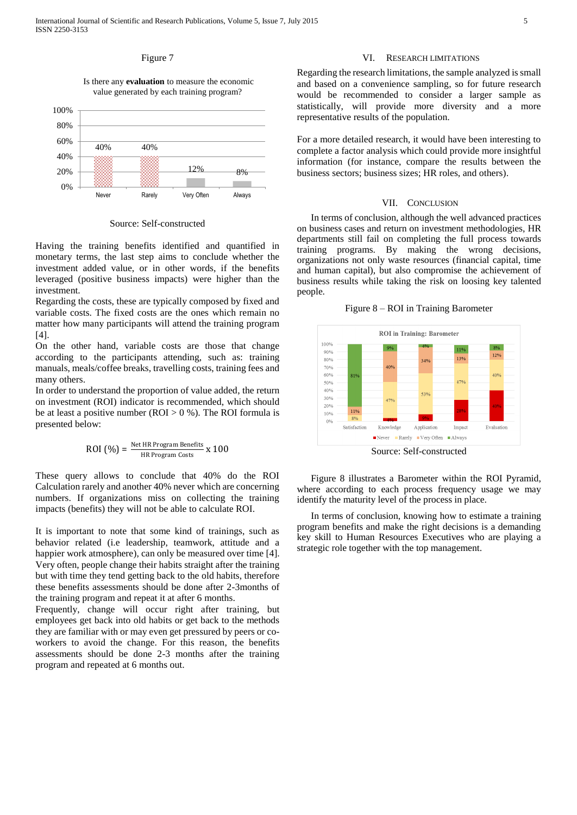# Figure 7

## Is there any **evaluation** to measure the economic value generated by each training program?



Source: Self-constructed

Having the training benefits identified and quantified in monetary terms, the last step aims to conclude whether the investment added value, or in other words, if the benefits leveraged (positive business impacts) were higher than the investment.

Regarding the costs, these are typically composed by fixed and variable costs. The fixed costs are the ones which remain no matter how many participants will attend the training program [4].

On the other hand, variable costs are those that change according to the participants attending, such as: training manuals, meals/coffee breaks, travelling costs, training fees and many others.

In order to understand the proportion of value added, the return on investment (ROI) indicator is recommended, which should be at least a positive number ( $ROI > 0 %$ ). The ROI formula is presented below:

$$
ROI (%) = \frac{Net HR Program Benefits}{HR Program Costs} \times 100
$$

These query allows to conclude that 40% do the ROI Calculation rarely and another 40% never which are concerning numbers. If organizations miss on collecting the training impacts (benefits) they will not be able to calculate ROI.

It is important to note that some kind of trainings, such as behavior related (i.e leadership, teamwork, attitude and a happier work atmosphere), can only be measured over time [4]. Very often, people change their habits straight after the training but with time they tend getting back to the old habits, therefore these benefits assessments should be done after 2-3months of the training program and repeat it at after 6 months.

Frequently, change will occur right after training, but employees get back into old habits or get back to the methods they are familiar with or may even get pressured by peers or coworkers to avoid the change. For this reason, the benefits assessments should be done 2-3 months after the training program and repeated at 6 months out.

# VI. RESEARCH LIMITATIONS

Regarding the research limitations, the sample analyzed is small and based on a convenience sampling, so for future research would be recommended to consider a larger sample as statistically, will provide more diversity and a more representative results of the population.

For a more detailed research, it would have been interesting to complete a factor analysis which could provide more insightful information (for instance, compare the results between the business sectors; business sizes; HR roles, and others).

#### VII. CONCLUSION

In terms of conclusion, although the well advanced practices on business cases and return on investment methodologies, HR departments still fail on completing the full process towards training programs. By making the wrong decisions, organizations not only waste resources (financial capital, time and human capital), but also compromise the achievement of business results while taking the risk on loosing key talented people.

Figure 8 – ROI in Training Barometer



Figure 8 illustrates a Barometer within the ROI Pyramid, where according to each process frequency usage we may identify the maturity level of the process in place.

In terms of conclusion, knowing how to estimate a training program benefits and make the right decisions is a demanding key skill to Human Resources Executives who are playing a strategic role together with the top management.